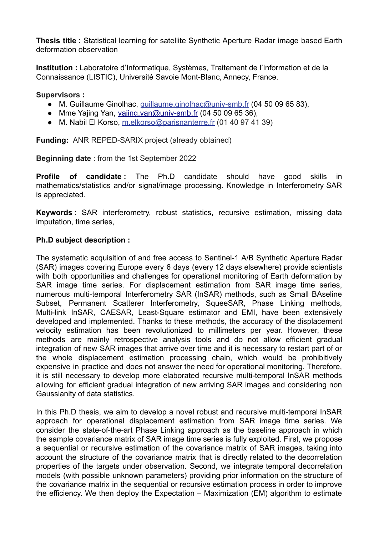**Thesis title :** Statistical learning for satellite Synthetic Aperture Radar image based Earth deformation observation

**Institution :** Laboratoire d'Informatique, Systèmes, Traitement de l'Information et de la Connaissance (LISTIC), Université Savoie Mont-Blanc, Annecy, France.

## **Supervisors :**

- M. Guillaume Ginolhac, guillaume.ginolha[c@univ-smb.fr](mailto:virginie.pinel@univ-smb.fr) (04 50 09 65 83),
- Mme Yajing Yan, [yajing.yan@univ-smb.fr](mailto:yajing.yan@univ-smb.fr) (04 50 09 65 36),
- M. Nabil El Korso, m.elkorso@parisnanterre.fr (01 40 97 41 39)

**Funding:** ANR REPED-SARIX project (already obtained)

**Beginning date** : from the 1st September 2022

**Profile of candidate :** The Ph.D candidate should have good skills in mathematics/statistics and/or signal/image processing. Knowledge in Interferometry SAR is appreciated.

**Keywords** : SAR interferometry, robust statistics, recursive estimation, missing data imputation, time series,

## **Ph.D subject description :**

The systematic acquisition of and free access to Sentinel-1 A/B Synthetic Aperture Radar (SAR) images covering Europe every 6 days (every 12 days elsewhere) provide scientists with both opportunities and challenges for operational monitoring of Earth deformation by SAR image time series. For displacement estimation from SAR image time series, numerous multi-temporal Interferometry SAR (InSAR) methods, such as Small BAseline Subset, Permanent Scatterer Interferometry, SqueeSAR, Phase Linking methods, Multi-link InSAR, CAESAR, Least-Square estimator and EMI, have been extensively developed and implemented. Thanks to these methods, the accuracy of the displacement velocity estimation has been revolutionized to millimeters per year. However, these methods are mainly retrospective analysis tools and do not allow efficient gradual integration of new SAR images that arrive over time and it is necessary to restart part of or the whole displacement estimation processing chain, which would be prohibitively expensive in practice and does not answer the need for operational monitoring. Therefore, it is still necessary to develop more elaborated recursive multi-temporal InSAR methods allowing for efficient gradual integration of new arriving SAR images and considering non Gaussianity of data statistics.

In this Ph.D thesis, we aim to develop a novel robust and recursive multi-temporal InSAR approach for operational displacement estimation from SAR image time series. We consider the state-of-the-art Phase Linking approach as the baseline approach in which the sample covariance matrix of SAR image time series is fully exploited. First, we propose a sequential or recursive estimation of the covariance matrix of SAR images, taking into account the structure of the covariance matrix that is directly related to the decorrelation properties of the targets under observation. Second, we integrate temporal decorrelation models (with possible unknown parameters) providing prior information on the structure of the covariance matrix in the sequential or recursive estimation process in order to improve the efficiency. We then deploy the Expectation – Maximization (EM) algorithm to estimate